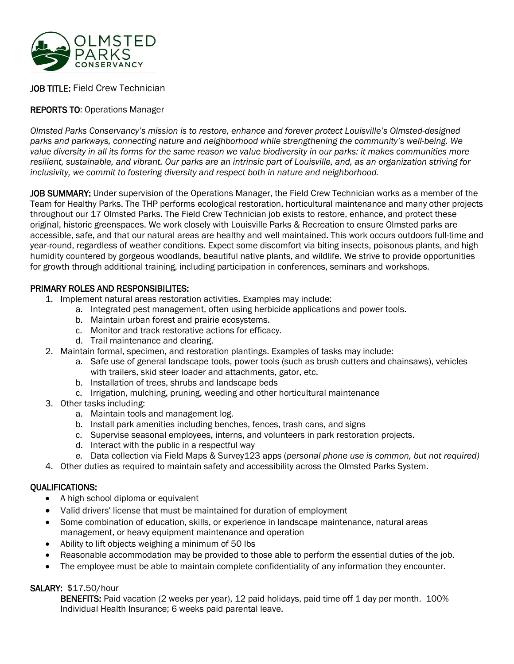

# JOB TITLE: Field Crew Technician

# REPORTS TO: Operations Manager

*Olmsted Parks Conservancy's mission is to restore, enhance and forever protect Louisville's Olmsted-designed parks and parkways, connecting nature and neighborhood while strengthening the community's well-being. We value diversity in all its forms for the same reason we value biodiversity in our parks: it makes communities more resilient, sustainable, and vibrant. Our parks are an intrinsic part of Louisville, and, as an organization striving for inclusivity, we commit to fostering diversity and respect both in nature and neighborhood.*

JOB SUMMARY: Under supervision of the Operations Manager, the Field Crew Technician works as a member of the Team for Healthy Parks. The THP performs ecological restoration, horticultural maintenance and many other projects throughout our 17 Olmsted Parks. The Field Crew Technician job exists to restore, enhance, and protect these original, historic greenspaces. We work closely with Louisville Parks & Recreation to ensure Olmsted parks are accessible, safe, and that our natural areas are healthy and well maintained. This work occurs outdoors full-time and year-round, regardless of weather conditions. Expect some discomfort via biting insects, poisonous plants, and high humidity countered by gorgeous woodlands, beautiful native plants, and wildlife. We strive to provide opportunities for growth through additional training, including participation in conferences, seminars and workshops.

#### PRIMARY ROLES AND RESPONSIBILITES:

- 1. Implement natural areas restoration activities. Examples may include:
	- a. Integrated pest management, often using herbicide applications and power tools.
	- b. Maintain urban forest and prairie ecosystems.
	- c. Monitor and track restorative actions for efficacy.
	- d. Trail maintenance and clearing.
- 2. Maintain formal, specimen, and restoration plantings. Examples of tasks may include:
	- a. Safe use of general landscape tools, power tools (such as brush cutters and chainsaws), vehicles with trailers, skid steer loader and attachments, gator, etc.
	- b. Installation of trees, shrubs and landscape beds
	- c. Irrigation, mulching, pruning, weeding and other horticultural maintenance
- 3. Other tasks including:
	- a. Maintain tools and management log.
	- b. Install park amenities including benches, fences, trash cans, and signs
	- c. Supervise seasonal employees, interns, and volunteers in park restoration projects.
	- d. Interact with the public in a respectful way
	- *e.* Data collection via Field Maps & Survey123 apps (*personal phone use is common, but not required)*
- 4. Other duties as required to maintain safety and accessibility across the Olmsted Parks System.

## QUALIFICATIONS:

- A high school diploma or equivalent
- Valid drivers' license that must be maintained for duration of employment
- Some combination of education, skills, or experience in landscape maintenance, natural areas management, or heavy equipment maintenance and operation
- Ability to lift objects weighing a minimum of 50 lbs
- Reasonable accommodation may be provided to those able to perform the essential duties of the job.
- The employee must be able to maintain complete confidentiality of any information they encounter.

## SALARY: \$17.50/hour

BENEFITS: Paid vacation (2 weeks per year), 12 paid holidays, paid time off 1 day per month. 100% Individual Health Insurance; 6 weeks paid parental leave.